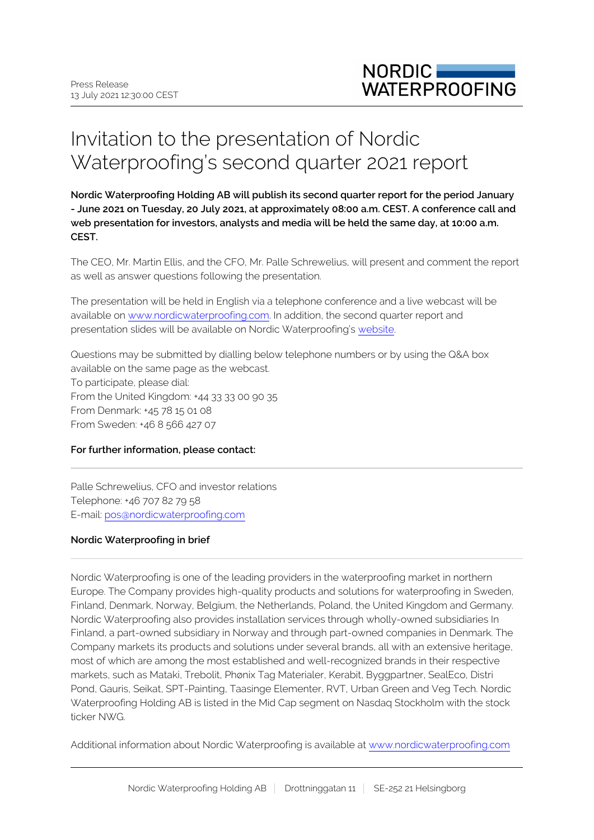## Invitation to the presentation of Nordic Waterproofing's second quarter 2021 report

**Nordic Waterproofing Holding AB will publish its second quarter report for the period January - June 2021 on Tuesday, 20 July 2021, at approximately 08:00 a.m. CEST. A conference call and web presentation for investors, analysts and media will be held the same day, at 10:00 a.m. CEST.**

The CEO, Mr. Martin Ellis, and the CFO, Mr. Palle Schrewelius, will present and comment the report as well as answer questions following the presentation.

The presentation will be held in English via a telephone conference and a live webcast will be available on [www.nordicwaterproofing.com.](https://tv.streamfabriken.com/nordic-waterproofing-q4-2019) In addition, the second quarter report and presentation slides will be available on Nordic Waterproofing's [website](http://www.nordicwaterproofing.com/en/).

Questions may be submitted by dialling below telephone numbers or by using the Q&A box available on the same page as the webcast.

To participate, please dial: From the United Kingdom: +44 33 33 00 90 35 From Denmark: +45 78 15 01 08 From Sweden: +46 8 566 427 07

## **For further information, please contact:**

Palle Schrewelius, CFO and investor relations Telephone: +46 707 82 79 58 E-mail: pos@nordicwaterproofing.com

## **Nordic Waterproofing in brief**

Nordic Waterproofing is one of the leading providers in the waterproofing market in northern Europe. The Company provides high-quality products and solutions for waterproofing in Sweden, Finland, Denmark, Norway, Belgium, the Netherlands, Poland, the United Kingdom and Germany. Nordic Waterproofing also provides installation services through wholly-owned subsidiaries In Finland, a part-owned subsidiary in Norway and through part-owned companies in Denmark. The Company markets its products and solutions under several brands, all with an extensive heritage, most of which are among the most established and well-recognized brands in their respective markets, such as Mataki, Trebolit, Phønix Tag Materialer, Kerabit, Byggpartner, SealEco, Distri Pond, Gauris, Seikat, SPT-Painting, Taasinge Elementer, RVT, Urban Green and Veg Tech. Nordic Waterproofing Holding AB is listed in the Mid Cap segment on Nasdaq Stockholm with the stock ticker NWG.

Additional information about Nordic Waterproofing is available at [www.nordicwaterproofing.com](http://www.nordicwaterproofing.com/)